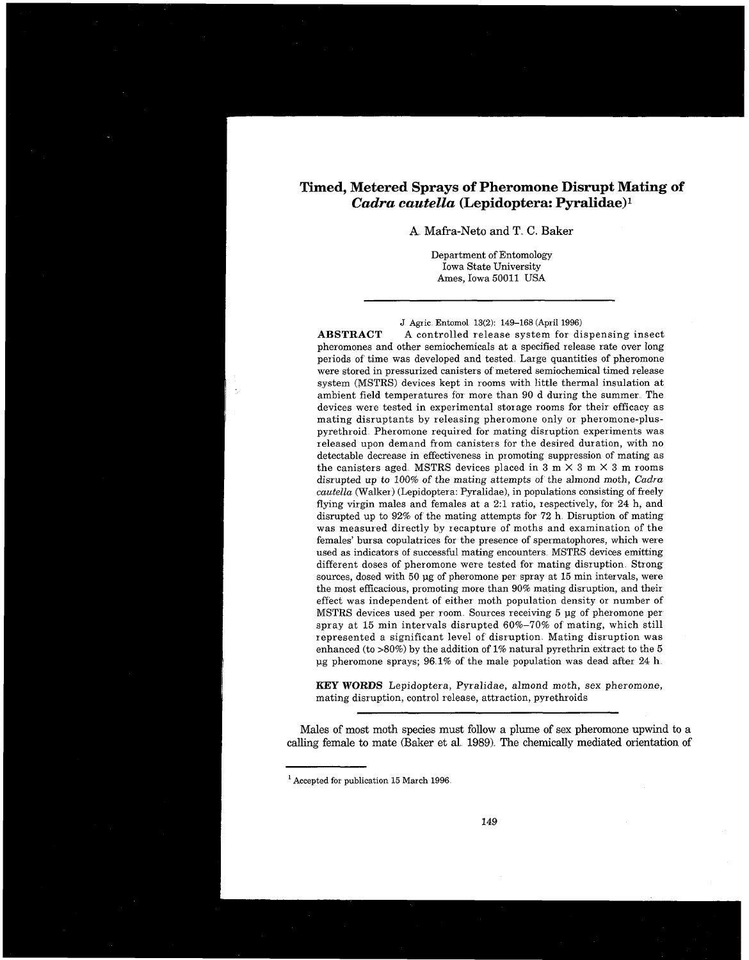# **Timed, Metered Sprays of Pheromone Disrupt Mating of**  *Cadra cautella* **(Lepidoptera: Pyra1idae)l**

**A.** Mafra-Neto and T, C. Baker

Department of Entomology Iowa State University Ames, Iowa 50011 USA

**J Agric Entomol 13(2): 149-168 (April 1996)** 

**ABSTRACT A** controlled release system for dispensing insect pheromones and other semiochemicals at a specified release rate over long periods of time was developed and tested. Large quantities of pheromone were stored in pressurized canisters of metered semiochemical timed release system (MSTRS) devices kept in rooms with little thermal insulation at ambient field temperatures for more than 90 d during the summer The devices were tested in experimental storage rooms for their efficacy as mating disruptants by releasing pheromone only or pheromone-pluspyrethroid Pheromone required for mating disruption experiments was released upon demand from canisters for the desired duration, with no detectable decrease in effectiveness in promoting suppression of mating as the canisters aged. MSTRS devices placed in  $3 \text{ m} \times 3 \text{ m} \times 3 \text{ m}$  rooms disrupted up to 100% of the mating attempts of the almond moth, *Cadra cautella* (Walker) (Lepidoptera: Pyralidae), in populations consisting of freely flying virgin males and females at a 2:1 ratio, respectively, for 24 h, and disrupted up to 92% of the mating attempts for 72 h Disruption of mating was measured directly by recapture of moths and examination of the females' bursa copulatrices for the presence of spermatophores, which were used as indicators of successful mating encounters MSTRS devices emitting different doses of pheromone were tested for mating disruption Strong sources, dosed with 50 µg of pheromone per spray at 15 min intervals, were the most efficacious, promoting more than 90% mating disruption, and their effect was independent of either moth population density or number of MSTRS devices used per room Sources receiving 5 pg of pheromone per spray at 15 min intervals disrupted 60%-70% of mating, which still represented a significant level of disruption Mating disruption was enhanced (to >80%) by the addition of 1% natural pyrethrin extract to the 5 pg pheromone sprays; 96 1% of the male population was dead after 24 h

KEY WORDS Lepidoptera, Pyralidae, almond moth, sex pheromone, mating disruption, control release, attraction, pyrethroids

Males of most moth species must follow a plume of sex pheromone upwind to a calling female to mate (Baker et al 1989) The chemically mediated orientation of

**Accepted for publication 15 March 1996**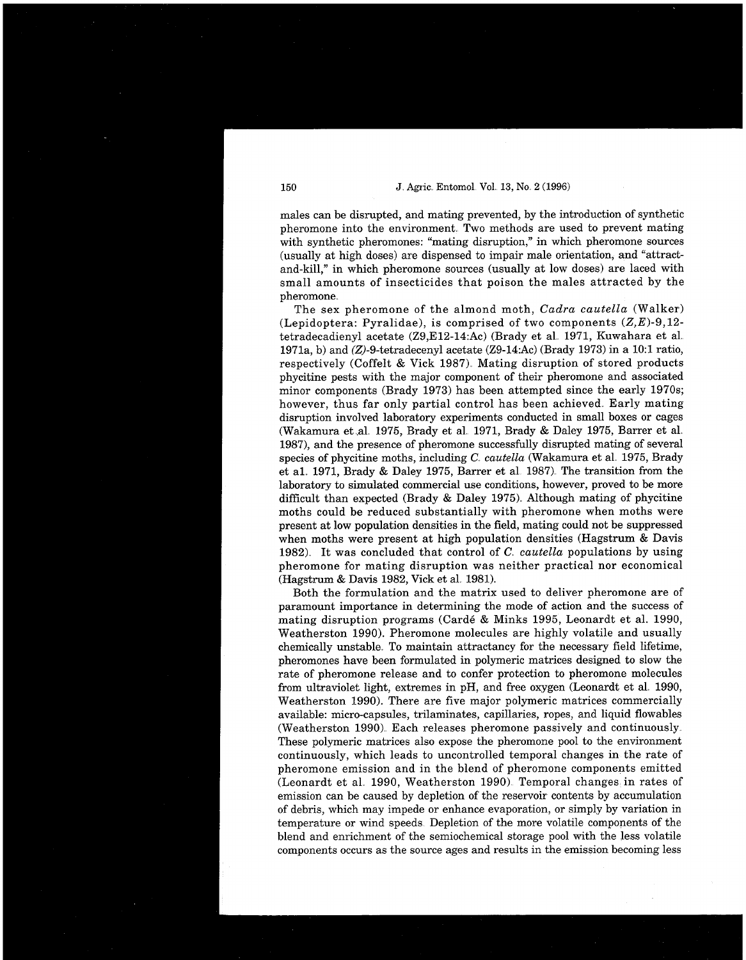males can be disrupted, and mating prevented, by the introduction of synthetic pheromone into the environment Two methods are used to prevent mating with synthetic pheromones: "mating disruption," in which pheromone sources (usually at high doses) are dispensed to impair male orientation, and "attractand-kill," in which pheromone sources (usually at low doses) are laced with small amounts of insecticides that poison the males attracted by the pheromone,

The sex pheromone of the almond moth, *Cadra cautella* (Walker) (Lepidoptera: Pyralidae), is comprised of two components  $(Z,E)$ -9,12tetradecadienyl acetate (Z9,E12-14:Ac) (Brady et al. 1971, Kuwahara et al. 1971a, b) and  $(Z)$ -9-tetradecenyl acetate  $(Z9-14:Ac)$  (Brady 1973) in a 10:1 ratio, respectively (Coffelt & Vick 1987) Mating disruption of stored products phycitine pests with the major component of their pheromone and associated minor components (Brady 1973) has been attempted since the early 1970s; however, thus far only partial control has been achieved. Early mating disruption involved laboratory experiments conducted in small boxes or cages (Wakamura et al. 1975, Brady et al. 1971, Brady & Daley 1975, Barrer et al. 1987), and the presence of pheromone successfully disrupted mating of several species of phycitine moths, including *C. cautella* (Wakamura et al. 1975, Brady et a1 1971, Brady & Daley 1975, Barrer et a1 1987) The transition from the laboratory to simulated commercial use conditions, however, proved to be more difficult than expected (Brady & Daley 1975) Although mating of phycitine moths could be reduced substantially with pheromone when moths were present at low population densities in the field, mating could not be suppressed when moths were present at high population densities (Hagstrum & Davis 1982). It was concluded that control of *C. cautella* populations by using pheromone for mating disruption was neither practical nor economical (Hagstrum & Davis 1982, Vick et a1 1981).

Both the formulation and the matrix used to deliver pheromone are of paramount importance in determining the mode of action and the success of mating disruption programs (Card6 & Minks 1995, Leonardt et al. 1990, Weatherston 1990). Pheromone molecules are highly volatile and usually chemically unstable To maintain attractancy for the necessary field lifetime, pheromones have been formulated in polymeric matrices designed to slow the rate of pheromone release and to confer protection to pheromone molecules from ultraviolet light, extremes in pH, and free oxygen (Leonardt et a1 1990, Weatherston 1990). There are five major polymeric matrices commercially available: micro-capsules, trilaminates, capillaries, ropes, and liquid flowables (Weatherston 1990). Each releases pheromone passively and continuously. These polymeric matrices also expose the pheromone pool to the environment continuously, which leads to uncontrolled temporal changes in the rate of pheromone emission and in the blend of pheromone components emitted (Leonardt et al. 1990, Weatherston 1990). Temporal changes in rates of emission can be caused by depletion of the reservoir contents by accumulation of debris, which may impede or enhance evaporation, or simply by variation in temperature or wind speeds Depletion of the more volatile components of the blend and enrichment of the semiochemical storage pool with the less volatile components occurs as the source ages and results in the emission becoming less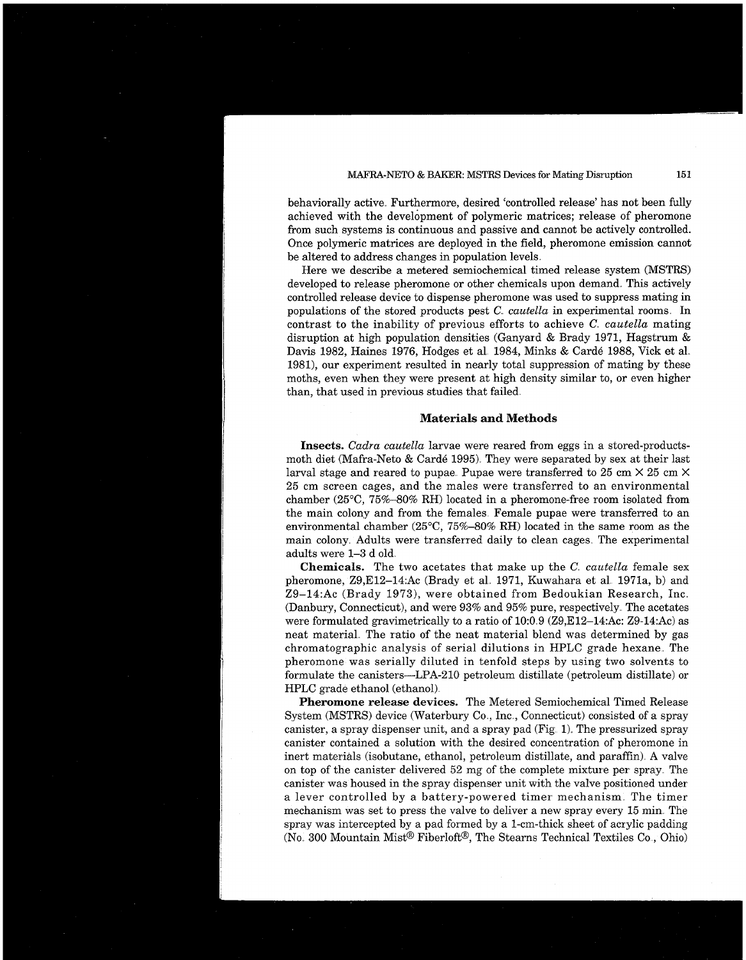## MAFRA-NET0 & BAKER: MSTRS Devices for Mating Disruption **15 <sup>1</sup>**

behaviorally active Furthermore, desired 'controlled release' has not been fully achieved with the development of polymeric matrices; release of pheromone from such systems is continuous and passive and cannot be actively controlled. Once polymeric matrices are deployed in the field, pheromone emission cannot be altered to address changes in population levels

Here we describe a metered semiochemical timed release system (MSTRS) developed to release pheromone or other chemicals upon demand. This actively controlled release device to dispense pheromone was used to suppress mating in populations of the stored products pest *C cautella* in experimental rooms In contrast to the inability of previous efforts to achieve *C cautella* mating disruption at high population densities (Ganyard & Brady 1971, Hagstrum & Davis 1982, Haines 1976, Hodges et al. 1984, Minks & Cardé 1988, Vick et al. 1981), our experiment resulted in nearly total suppression of mating by these moths, even when they were present at high density similar to, or even higher than, that used in previous studies that failed

## **Materials and Methods**

**Insects.** *Cadra cautella* larvae were reared from eggs in a stored-productsmoth diet (Mafra-Neto & Card6 1995) They were separated by sex at their last larval stage and reared to pupae. Pupae were transferred to 25 cm  $\times$  25 cm  $\times$ 25 cm screen cages, and the males were transferred to an environmental chamber ( $25^{\circ}$ C,  $75\%$ -80% RH) located in a pheromone-free room isolated from the main colony and from the females Female pupae were transferred to an environmental chamber (25°C, 75%-80% RH) located in the same room as the main colony Adults were transferred daily to clean cages The experimental adults were 1-3 d old

**Chemicals.** The two acetates that make up the *C. cautella* female sex pheromone, Z9,E12-14:Ac (Brady et a1 1971, Kuwahara et a1 1971a, b) and Z9-14:Ac (Brady 1973), were obtained from Bedoukian Research, Inc. (Danbury, Connecticut), and were 93% and 95% pure, respectively The acetates were formulated gravimetrically to a ratio of  $10:0.9$  (Z9,E12-14:Ac: Z9-14:Ac) as neat material The ratio of the neat material blend was determined by gas chromatographic analysis of serial dilutions in HPLC grade hexane The pheromone was serially diluted in tenfold steps by using two solvents to formulate the canisters-LPA-210 petroleum distillate (petroleum distillate) or HPLC grade ethanol (ethanol)

**Pheromone release devices.** The Metered Semiochemical Timed Release System (MSTRS) device (Waterbury Co., Inc., Connecticut) consisted of a spray canister, a spray dispenser unit, and a spray pad (Fig. 1). The pressurized spray canister contained a solution with the desired concentration of pheromone in inert materials (isobutane, ethanol, petroleum distillate, and paraffin) A valve on top of the canister delivered 52 mg of the complete mixture per spray The canister was housed in the spray dispenser unit with the valve positioned under a lever controlled by a battery-powered timer mechanism The timer mechanism was set to press the valve to deliver a new spray every 15 min The spray was intercepted by a pad formed by a 1-cm-thick sheet of acrylic padding (No 300 Mountain Mist@ Fiberloft@, The Stearns Technical Textiles Co , Ohio)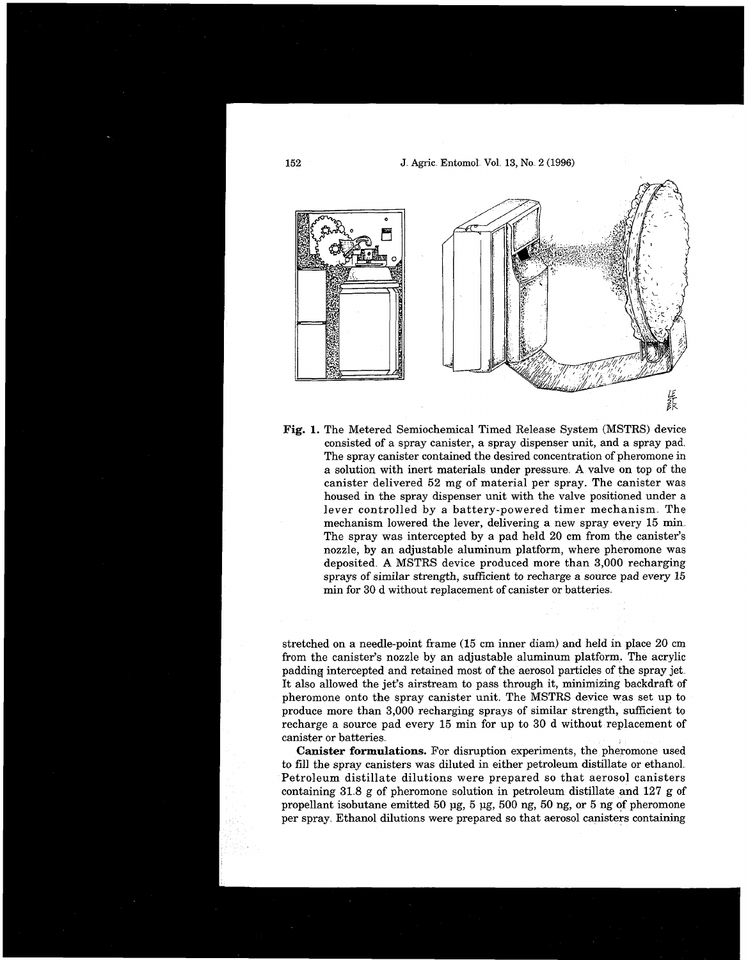

**Fig.** 1. The Metered Semiochemical Timed Release System (MSTRS) device consisted of a spray canister, a spray dispenser unit, and a spray pad The spray canister contained the desired concentration of pheromone in a solution with inert materials under pressure **A** valve on top of the canister delivered 52 mg of material per spray. The canister was housed in the spray dispenser unit with the valve positioned under a lever controlled by a battery-powered timer mechanism. The mechanism lowered the lever, delivering a new spray every 15 min The spray was intercepted by a pad held 20 cm from the canister's nozzle, by an adjustable aluminum platform, where pheromone was deposited. A MSTRS device produced more than 3,000 recharging sprays of similar strength, sufficient to recharge a source pad every 15 min for 30 d without replacement of canister or batteries

stretched on a needle-point frame (15 cm inner diam) and held in place 20 cm from the canister's nozzle by an adjustable aluminum platform. The acrylic padding intercepted and retained most of the aerosol particles of the spray jet It also allowed the jet's airstream to pass through it, minimizing backdraft of pheromone onto the spray canister unit. The MSTRS device was set up to produce more than 3,000 recharging sprays of similar strength, sufficient to recharge a source pad every 15 min for up to 30 d without replacement of canister or batteries

**Canister formulations.** For disruption experiments, the pheromone used to fill the spray canisters was diluted in either petroleum distillate or ethanol Petroleum distillate dilutions were prepared so that aerosol canisters containing 31 8 g of pheromone solution in petroleum distillate and 127 g of propellant isobutane emitted 50 pg, 5 pg, 500 ng, 50 ng, or 5 ng of pheromone per spray Ethanol dilutions were prepared so that aerosol canisters containing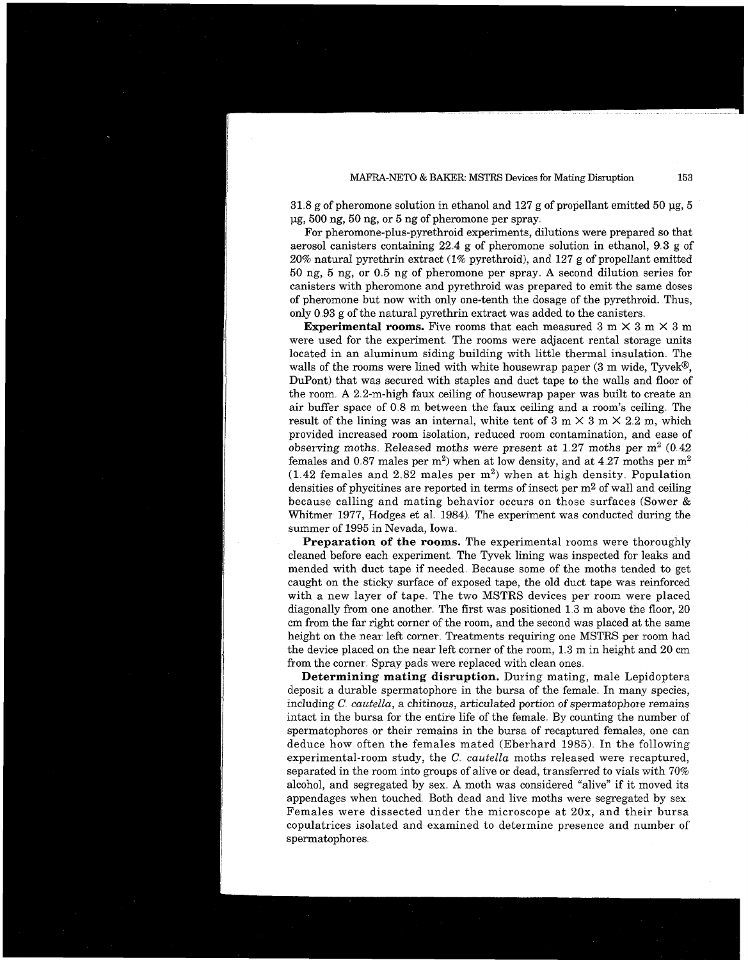## MAFKA-NET0 & BAKER: MSTRS Devices for Mating Disruption **153**

 $31.8$  g of pheromone solution in ethanol and  $127$  g of propellant emitted 50 ug, 5 pg, 500 ng, 50 ng, or 5 ng of pheromone per spray

For pheromone-plus-pyrethroid experiments, dilutions were prepared so that aerosol canisters containing 22.4 g of pheromone solution in ethanol,  $9.3 \text{ g}$  of 20% natural pyrethrin extract (1% pyrethroid), and 127 g of propellant emitted 50 ng, 5 ng, or 0.5 ng of pheromone per spray. **A** second dilution series for canisters with pheromone and pyrethroid was prepared to emit the same doses of pheromone but now with only one-tenth the dosage of the pyrethroid Thus, only 0 93 g of the natural pyrethrin extract was added to the canisters

**Experimental rooms.** Five rooms that each measured  $3 \text{ m} \times 3 \text{ m} \times 3 \text{ m}$ were used for the experiment. The rooms were adjacent rental storage units located in an aluminum siding building with little thermal insulation The walls of the rooms were lined with white housewrap paper  $(3 \text{ m wide, Tyvek}^{\circledR},$ DuPont) that was secured with staples and duct tape to the walls and floor of the room A 2 2-m-high faux ceiling of housewrap paper was built to create an air buffer space of 0 8 m between the faux ceiling and a room's ceiling The result of the lining was an internal, white tent of  $3 \text{ m} \times 3 \text{ m} \times 2.2 \text{ m}$ , which provided increased room isolation, reduced room contamination, and ease of observing moths. Released moths were present at  $1.27$  moths per  $m^2$  (0.42) females and 0.87 males per  $m^2$ ) when at low density, and at 4.27 moths per  $m^2$  $(1.42$  females and 2.82 males per  $m<sup>2</sup>$ ) when at high density. Population densities of phycitines are reported in terms of insect per  $m<sup>2</sup>$  of wall and ceiling because calling and mating behavior occurs on those surfaces (Sower & Whitmer 1977, Hodges et al. 1984). The experiment was conducted during the summer of 1995 in Nevada, Iowa

**Preparation of the rooms.** The experimental rooms were thoroughly cleaned before each experiment The Tyvek lining was inspected for leaks and mended with duct tape if needed Because some of the moths tended to get caught on the sticky surface of exposed tape, the old duct tape was reinforced with a new layer of tape. The two MSTRS devices per room were placed diagonally from one another. The first was positioned 1.3 m above the floor, 20 cm from the far right corner of the room, and the second was placed at the same height on the near left corner. Treatments requiring one MSTRS per room had the device placed on the near left corner of the room, 1 3 m in height and 20 cm from the corner. Spray pads were replaced with clean ones.

**Determining mating disruption.** During mating, male Lepidoptera deposit a durable spermatophore in the bursa of the female In many species, including C *cautella,* a chitinous, articulated portion of spermatophore remains intact in the bursa for the entire life of the female By counting the number of spermatophores or their remains in the bursa of recaptured females, one can deduce how often the females mated (Eberhard 1985). In the following experimental-room study, the C *cautella* moths released were recaptured, separated in the room into groups of alive or dead, transferred to vials with 70% alcohol, and segregated by sex, A moth was considered "alive" if it moved its appendages when touched. Both dead and live moths were segregated by sex. Females were dissected under the microscope at 20x, and their bursa copulatrices isolated and examined to determine presence and number of spermatophores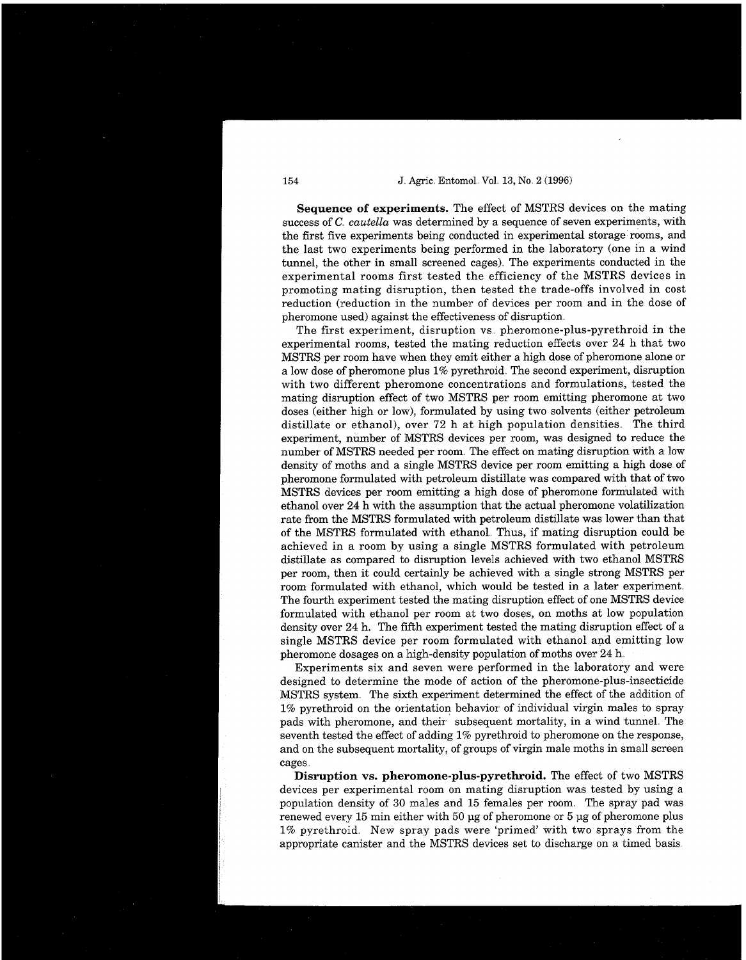**Sequence of experiments.** The effect of MSTRS devices on the mating success of *C cautella* was determined by a sequence of seven experiments, with the first five experiments being conducted in experimental storage rooms, and the last two experiments being performed in the laboratory (one in a wind tunnel, the other in small screened cages) The experiments conducted in the experimental rooms first tested the efficiency of the MSTRS devices in promoting mating disruption, then tested the trade-offs involved in cost reduction (reduction in the number of devices per room and in the dose of pheromone used) against the effectiveness of disruption

The first experiment, disruption vs pheromone-plus-pyrethroid in the experimental rooms, tested the mating reduction effects over 24 h that two MSTRS per room have when they emit either a high dose of pheromone alone or a low dose of pheromone plus 1% pyrethroid The second experiment, disruption with two different pheromone concentrations and formulations, tested the mating disruption effect of two MSTRS per room emitting pheromone at two doses (either high or low), formulated by using two solvents (either petroleum distillate or ethanol), over 72 h at high population densities. The third experiment, number of MSTRS devices per room, was designed to reduce the number of MSTRS needed per room The effect on mating disruption with a low density of moths and a single MSTRS device per room emitting a high dose of pheromone formulated with petroleum distillate was compared with that of two MSTRS devices per room emitting a high dose of pheromone formulated with ethanol over 24 h with the assumption that the actual pheromone volatilization rate from the MSTRS formulated with petroleum distillate was lower than that of the MSTRS formulated with ethanol Thus, if mating disruption could be achieved in a room by using a single MSTRS formulated with petroleum distillate as compared to disruption levels achieved with two ethanol MSTRS per room, then it could certainly be achieved with a single strong MSTRS per room formulated with ethanol, which would be tested in a later experiment The fourth experiment tested the mating disruption effect of one MSTRS device formulated with ethanol per room at two doses, on moths at low population density over 24 h. The fifth experiment tested the mating disruption effect of a single MSTRS device per room formulated with ethanol and emitting low pheromone dosages on a high-density population of moths over 24 h

Experiments six and seven were performed in the laboratory and were designed to determine the mode of action of the pheromone-plus-insecticide MSTRS system The sixth experiment determined the effect of the addition of 1% pyrethroid on the orientation behavior of individual virgin males to spray pads with pheromone, and their subsequent mortality, in a wind tunnel The seventh tested the effect of adding 1% pyrethroid to pheromone on the response, and on the subsequent mortality, of groups of virgin male moths in small screen cages

**Disruption vs. pheromone-plus-pyrethroid.** The effect of two MSTRS devices per experimental room on mating disruption was tested by using a population density of 30 males and 15 females per room The spray pad was renewed every  $15$  min either with  $50 \mu$ g of pheromone or  $5 \mu$ g of pheromone plus  $1\%$  pyrethroid. New spray pads were 'primed' with two sprays from the appropriate canister and the MSTRS devices set to discharge on a timed basis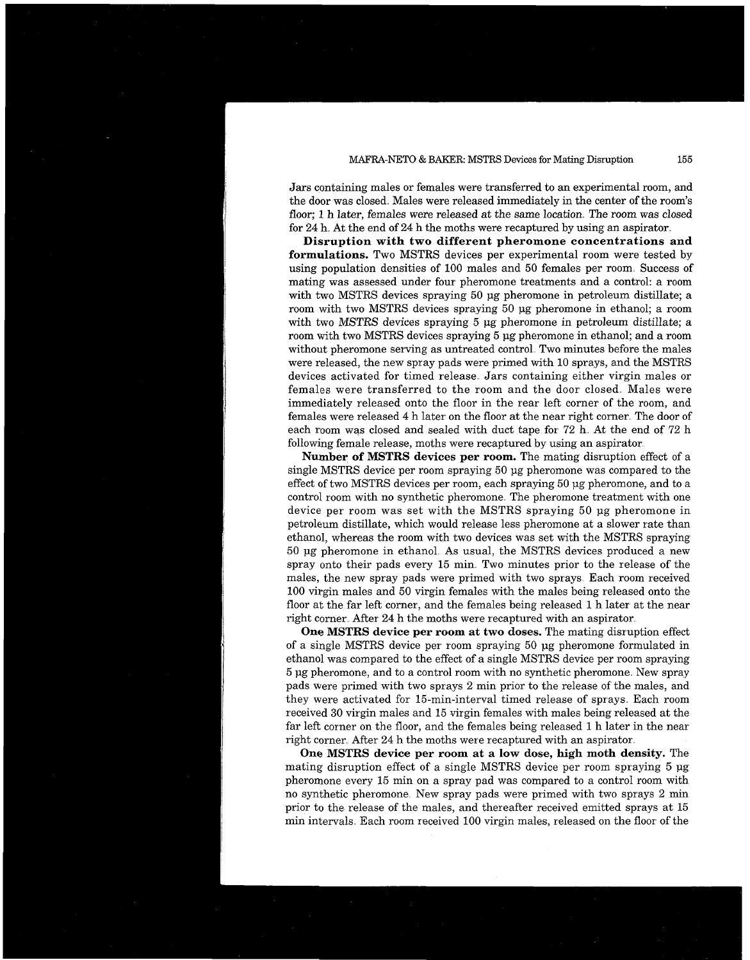#### MAPRA-NET0 & BAKER: MSTRS Devices for Mating Disruption **155**

Jars containing males or females were transferred to an experimental room, and the door was closed Males were released immediately in the center of the room's floor; 1 h later, females were released at the same location The room was closed for 24 h. At the end of 24 h the moths were recaptured by using an aspirator.

**Disruption with two different pheromone concentrations and formulations.** Two MSTRS devices per experimental room were tested by using population densities of 100 males and 50 females per room Success of mating was assessed under four pheromone treatments and a control: a room with two MSTRS devices spraying 50 µg pheromone in petroleum distillate; a room with two MSTRS devices spraying 50 pg pheromone in ethanol; a room with two MSTRS devices spraying 5 µg pheromone in petroleum distillate; a room with two MSTRS devices spraying 5 pg pheromone in ethanol; and a room without pheromone serving as untreated control Two minutes before the males were released, the new spray pads were primed with 10 sprays, and the MSTRS devices activated for timed release Jars containing either virgin males or females were transferred to the room and the door closed Males were immediately released onto the floor in the rear left corner of the room, and females were released 4 h later on the floor at the near right corner The door of each room was closed and sealed with duct tape for 72 h At the end of 72 h following female release, moths were recaptured by using an aspirator

**Number of MSTRS devices per room.** The mating disruption effect of a single MSTRS device per room spraying 50 pg pheromone was compared to the effect of two MSTRS devices per room, each spraying 50 ug pheromone, and to a control room with no synthetic pheromone The pheromone treatment with one device per room was set with the MSTRS spraying 50 pg pheromone in petroleum distillate, which would release less pheromone at a slower rate than ethanol, whereas the room with two devices was set with the MSTRS spraying 50 pg pheromone in ethanol As usual, the MSTRS devices produced a new spray onto their pads every 15 min Two minutes prior to the release of the males, the new spray pads were primed with two sprays Each room received 100 virgin males and 50 virgin females with the males being released onto the floor at the far left corner, and the females being released 1 h later at the near right corner After 24 h the moths were recaptured with an aspirator

**One MSTRS device per room at two doses.** The mating disruption effect of a single MSTRS device per room spraying 50 pg pheromone formulated in ethanol was compared to the effect of a single MSTRS device per room spraying 5 pg pheromone, and to a control room with no synthetic pheromone New spray pads were primed with two sprays 2 min prior to the release of the males, and they were activated for 15-min-interval timed release of sprays Each room received 30 virgin males and 15 virgin females with males being released at the far left corner on the floor, and the females being released 1 h later in the near right corner. After 24 h the moths were recaptured with an aspirator.

**One MSTRS device per room at a low dose, high moth density.** The mating disruption effect of a single MSTRS device per room spraying 5 pg pheromone every 15 min on a spray pad was compared to a control room with no synthetic pheromone New spray pads were primed with two sprays 2 min prior to the release of the males, and thereafter received emitted sprays at 15 min intervals Each room received 100 virgin males, released on the floor of the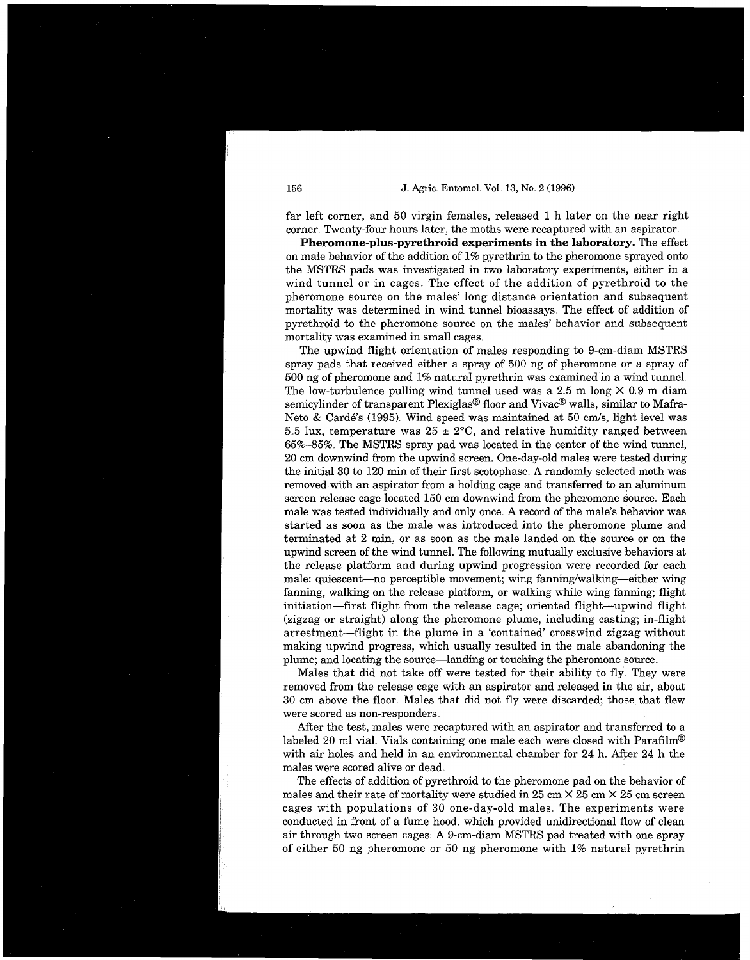far left corner, and 50 virgin females, released 1 h later on the near right corner. Twenty-four hours later, the moths were recaptured with an aspirator.

**Pheromone-plus-pyrethroid experiments in the laboratory.** The effect on male behavior of the addition of 1% pyrethrin to the pheromone sprayed onto the MSTRS pads was investigated in two laboratory experiments, either in a wind tunnel or in cages. The effect of the addition of pyrethroid to the pheromone source on the males' long distance orientation and subsequent mortality was determined in wind tunnel bioassays The effect of addition of pyrethroid to the pheromone source on the males' behavior and subsequent mortality was examined in small cages

The upwind flight orientation of males responding to 9-cm-diam MSTRS spray pads that received either a spray of 500 ng of pheromone or a spray of 500 ng of pheromone and 1% natural pyrethrin was examined in a wind tunnel The low-turbulence pulling wind tunnel used was a 2.5 m long  $\times$  0.9 m diam semicylinder of transparent Plexiglas<sup>®</sup> floor and Vivac<sup>®</sup> walls, similar to Mafra-Neto & Cardé's (1995). Wind speed was maintained at 50 cm/s, light level was 5.5 lux, temperature was  $25 \pm 2$ °C, and relative humidity ranged between 65%-85% The MSTRS spray pad was located in the center of the wind tunnel, 20 cm downwind from the upwind screen. One-day-old males were tested during the initial 30 to 120 min of their first scotophase **A** randomly selected moth was removed with an aspirator from a holding cage and transferred to an aluminum screen release cage located 150 cm downwind from the pheromone source Each male was tested individually and only once **A** record of the male's behavior was started as soon as the male was introduced into the pheromone plume and terminated at 2 min, or as soon as the male landed on the source or on the upwind screen of the wind tunnel. The following mutually exclusive behaviors at the release platform and during upwind progression were recorded for each male: quiescent-no perceptible movement; wing fanning/walking-either wing fanning, walking on the release platform, or walking while wing fanning; flight initiation-first flight from the release cage; oriented flight-upwind flight (zigzag or straight) along the pheromone plume, including casting; in-flight arrestment-flight in the plume in a 'contained' crosswind zigzag without making upwind progress, which usually resulted in the male abandoning the plume; and locating the source-landing or touching the pheromone source

Males that did not take off were tested for their ability to fly. They were removed from the release cage with an aspirator and released in the air, about 30 cm above the floor Males that did not fly were discarded; those that flew were scored as non-responders

After the test, males were recaptured with an aspirator and transferred to a labeled 20 ml vial. Vials containing one male each were closed with Parafilm<sup>®</sup> with air holes and held in an environmental chamber for 24 h. After 24 h the males were scored alive or dead

The effects of addition of pyrethroid to the pheromone pad on the behavior of males and their rate of mortality were studied in 25 cm  $\times$  25 cm  $\times$  25 cm screen cages with populations of 30 one-day-old males The experiments were conducted in front of a fume hood, which provided unidirectional flow of clean air through two screen cages **A** 9-cm-diam MSTRS pad treated with one spray of either 50 ng pheromone or 50 ng pheromone with 1% natural pyrethrin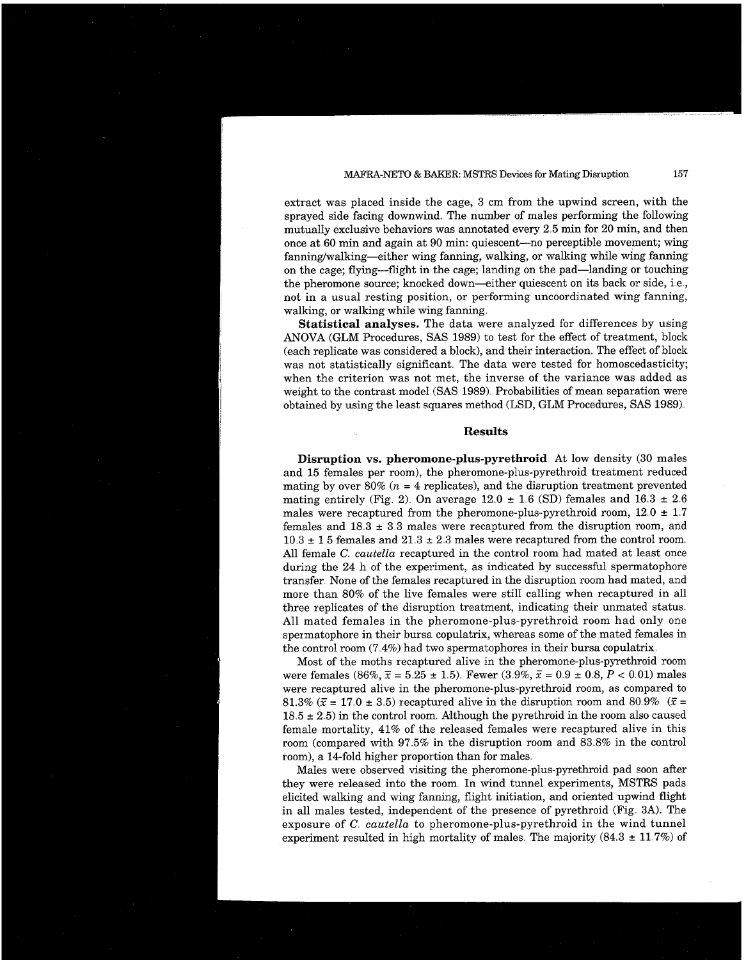## MAFRA-NET0 & BAKER: MSTRS Devices for Mating Disruption 157

extract was placed inside the cage, 3 cm from the upwind screen, with the sprayed side facing downwind, The number of males performing the following mutually exclusive behaviors was annotated every 2,5 min for 20 min, and then once at 60 min and again at 90 min: quiescent-no perceptible movement; wing fanning/walking-either wing fanning, walking, or walking while wing fanning on the cage; flying-flight in the cage; landing on the pad-landing or touching the pheromone source; knocked down-either quiescent on its back or side, i.e., not in a usual resting position, or performing uncoordinated wing fanning, walking, or walking while wing fanning

**Statistical analyses.** The data were analyzed for differences by using ANOVA (GLM Procedures, SAS 1989) to test for the effect of treatment, block (each replicate was considered a block), and their interaction, The effect of block was not statistically significant. The data were tested for homoscedasticity; when the criterion was not met, the inverse of the variance was added as weight to the contrast model (SAS 1989). Probabilities of mean separation were obtained by using the least squares method (LSD, GLM Procedures, SAS 1989),

#### **Results**

**Disruption vs. pheromone-plus-pyrethroid** At low density (30 males and 15 females per room), the pheromone-plus-pyrethroid treatment reduced mating by over  $80\%$  ( $n = 4$  replicates), and the disruption treatment prevented mating entirely (Fig. 2). On average  $12.0 \pm 1.6$  (SD) females and  $16.3 \pm 2.6$ males were recaptured from the pheromone-plus-pyrethroid room,  $12.0 \pm 1.7$ females and  $18.3 \pm 3.3$  males were recaptured from the disruption room, and  $10.3 \pm 1.5$  females and  $21.3 \pm 2.3$  males were recaptured from the control room. All female *C. cautella* recaptured in the control room had mated at least once during the 24 h of the experiment, as indicated by successful spermatophore transfer None of the females recaptured in the disruption room had mated, and more than 80% of the live females were still calling when recaptured in all three replicates of the disruption treatment, indicating their unmated status All mated females in the pheromone-plus-pyrethroid room had only one spermatophore in their bursa copulatrix, whereas some of the mated females in the control room (7 4%) had two spermatophores in their bursa copulatrix

Most of the moths recaptured alive in the pheromone-plus-pyrethroid room were females (86%,  $\bar{x} = 5.25 \pm 1.5$ ). Fewer (3.9%,  $\bar{x} = 0.9 \pm 0.8$ ,  $P < 0.01$ ) males were recaptured alive in the pheromone-plus-pyrethroid room, as compared to 81.3%  $(\bar{x} = 17.0 \pm 3.5)$  recaptured alive in the disruption room and 80.9%  $(\bar{x} =$  $18.5 \pm 2.5$ ) in the control room. Although the pyrethroid in the room also caused female mortality, 41% of the released females were recaptured alive in this room (compared with 97 5% in the disruption room and 83 8% in the control room), a 14-fold higher proportion than for males

Males were observed visiting the pheromone-plus-pyrethroid pad soon after they were released into the room In wind tunnel experiments, MSTRS pads elicited walking and wing fanning, flight initiation, and oriented upwind flight in all males tested, independent of the presence of pyrethroid (Fig 3A). The exposure of C *cautella* to pheromone-plus-pyrethroid in the wind tunnel experiment resulted in high mortality of males. The majority  $(84.3 \pm 11.7%)$  of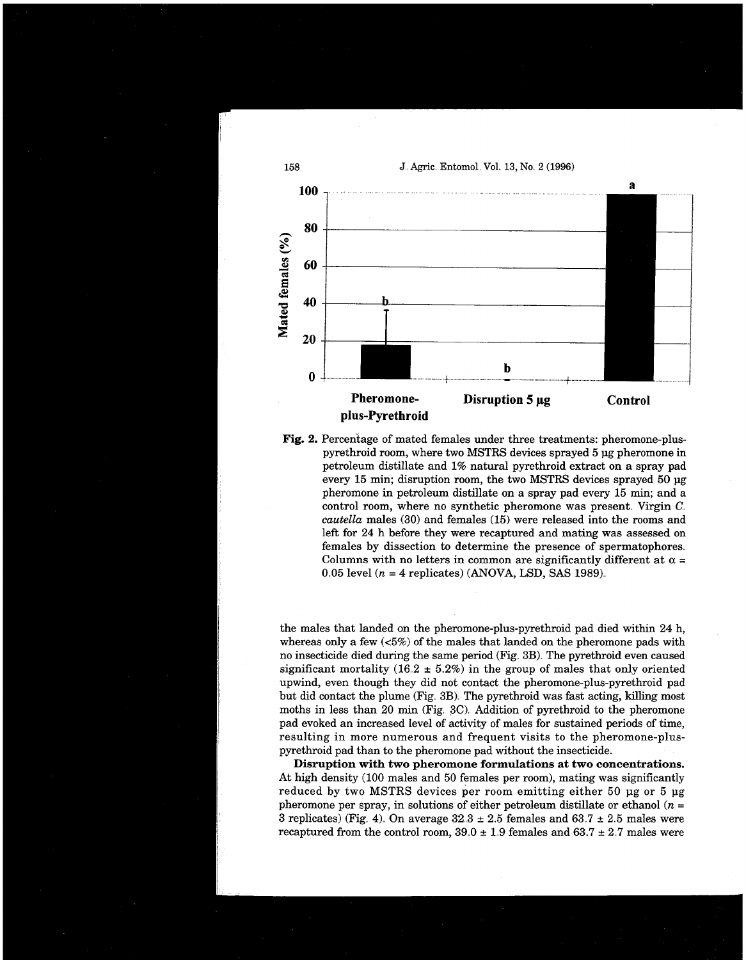

**Fig.** 2. Percentage of mated females under three treatments: pheromone-pluspyrethroid room, where two MSTRS devices sprayed 5 µg pheromone in petroleum distillate and **1%** natural pyrethroid extract on a spray pad every 15 min; disruption room, the two MSTRS devices sprayed 50 pg pheromone in petroleum distillate on a spray pad every 15 min; and a control room, where no synthetic pheromone was present, Virgin *C,, cautella* males (30) and females (15) were released into the rooms and left for 24 h before they were recaptured and mating was assessed on females by dissection to determine the presence of spermatophores. Columns with no letters in common are significantly different at  $\alpha$  = 0.05 level  $(n = 4$  replicates) (ANOVA, LSD, SAS 1989).

the males that landed on the pheromone-plus-pyrethroid pad died within 24 h, whereas only a few  $(5\%)$  of the males that landed on the pheromone pads with no insecticide died during the same period (Fig. 3B) The pyrethroid even caused significant mortality (16.2  $\pm$  5.2%) in the group of males that only oriented upwind, even though they did not contact the pheromone-plus-pyrethroid pad but did contact the plume (Fig. 3B). The pyrethroid was fast acting, killing most moths in less than 20 min (Fig. 3C). Addition of pyrethroid to the pheromone pad evoked an increased level of activity of males for sustained periods of time, resulting in more numerous and frequent visits to the pheromone-pluspyrethroid pad than to the pheromone pad without the insecticide.

**Disruption with two pheromone formulations at two concentrations.**  At high density (100 males and 50 females per room), mating was significantly reduced by two MSTRS devices per room emitting either 50 pg or 5 pg pheromone per spray, in solutions of either petroleum distillate or ethanol  $(n =$ 3 replicates) (Fig. 4). On average  $32.3 \pm 2.5$  females and  $63.7 \pm 2.5$  males were recaptured from the control room,  $39.0 \pm 1.9$  females and  $63.7 \pm 2.7$  males were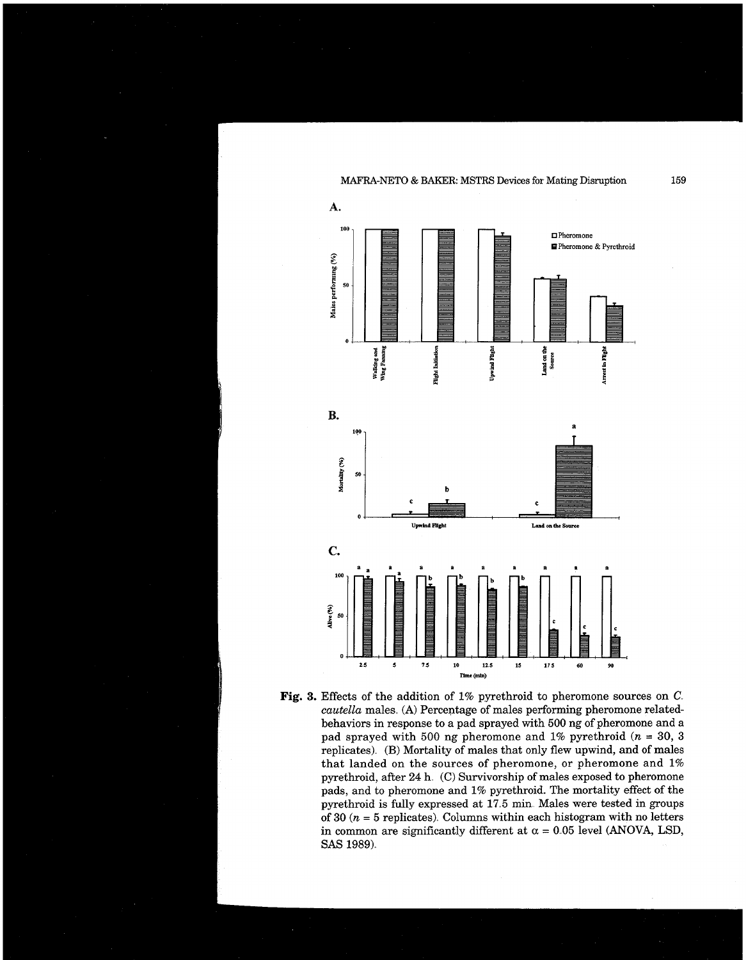

**Fig.** 3. Effects of the addition of 1% pyrethroid to pheromone sources on C *cautella* males (A) Percentage of males performing pheromone relatedbehaviors in response to a pad sprayed with 500 ng of pheromone and a pad sprayed with 500 ng pheromone and  $1\%$  pyrethroid ( $n = 30, 3$ ) replicates) (B) Mortality of males that only flew upwind, and of males that landed on the sources of pheromone, or pheromone and 1% pyrethroid, after 24 h. (C) Survivorship of males exposed to pheromone pads, and to pheromone and 1% pyrethroid. The mortality effect of the pyrethroid is fully expressed at 17 **5** min Males were tested in groups of 30  $(n = 5$  replicates). Columns within each histogram with no letters in common are significantly different at  $\alpha = 0.05$  level (ANOVA, LSD, **SAS** 1989)

## MAFRA-NET0 & BAKER: **MSTRS** Devices for Mating Disruption **159**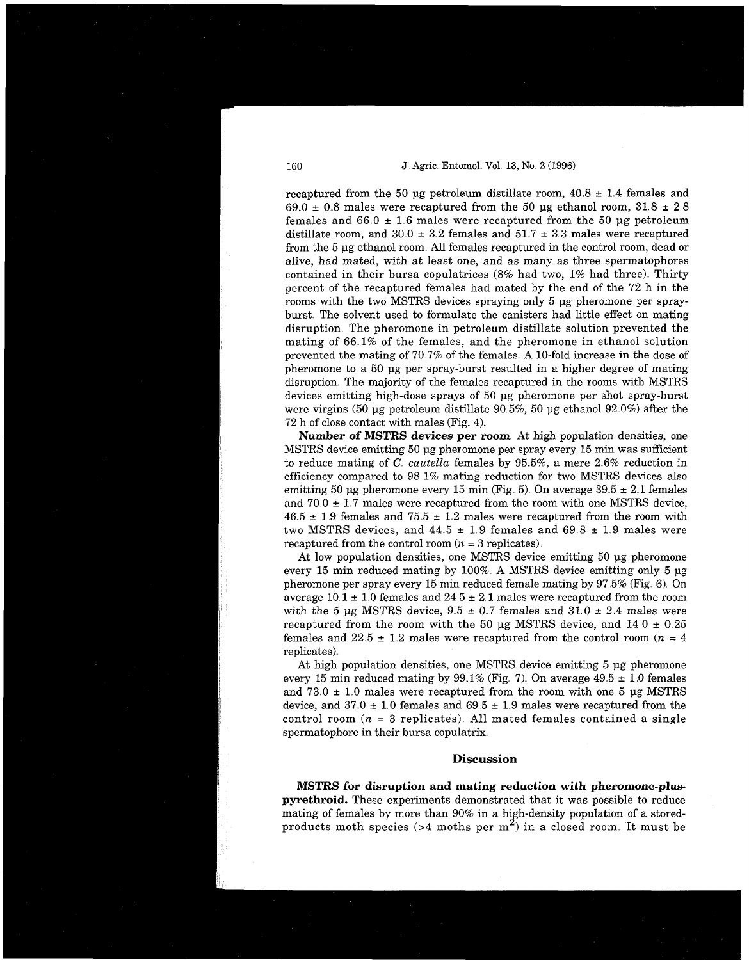recaptured from the 50 µg petroleum distillate room,  $40.8 \pm 1.4$  females and 69.0  $\pm$  0.8 males were recaptured from the 50 µg ethanol room, 31.8  $\pm$  2.8 females and  $66.0 \pm 1.6$  males were recaptured from the 50 µg petroleum distillate room, and  $30.0 \pm 3.2$  females and  $51.7 \pm 3.3$  males were recaptured from the 5 pg ethanol room All females recaptured in the control room, dead or alive, had mated, with at least one, and as many as three spermatophores contained in their bursa copulatrices (8% had two, 1% had three) Thirty percent of the recaptured females had mated by the end of the 72 h in the rooms with the two MSTRS devices spraying only 5 µg pheromone per sprayburst. The solvent used to formulate the canisters had little effect on mating disruption The pheromone in petroleum distillate solution prevented the mating of 66 1% of the females, and the pheromone in ethanol solution prevented the mating of 70 **7%** of the females A 10-fold increase in the dose of pheromone to a 50 pg per spray-burst resulted in a higher degree of mating disruption The majority of the females recaptured in the rooms with MSTRS devices emitting high-dose sprays of 50 pg pheromone per shot spray-burst were virgins (50 pg petroleum distillate 90 5%, 50 pg ethanol 92 0%) after the 72 h of close contact with males (Fig. 4).

**Number of MSTRS devices per room** At high population densities, one MSTRS device emitting 50 pg pheromone per spray every 15 min was sufficient to reduce mating of C *cautella* females by 95 5%, a mere 2 6% reduction in efficiency compared to 98 1% mating reduction for two MSTRS devices also emitting 50 µg pheromone every 15 min (Fig. 5). On average  $39.5 \pm 2.1$  females and  $70.0 \pm 1.7$  males were recaptured from the room with one MSTRS device,  $46.5 \pm 1.9$  females and  $75.5 \pm 1.2$  males were recaptured from the room with two MSTRS devices, and  $44.5 \pm 1.9$  females and  $69.8 \pm 1.9$  males were recaptured from the control room  $(n = 3$  replicates).

At low population densities, one MSTRS device emitting 50 pg pheromone every 15 min reduced mating by 100% A MSTRS device emitting only 5 pg pheromone per spray every 15 min reduced female mating by 97.5% (Fig. 6). On average  $10.1 \pm 1.0$  females and  $24.5 \pm 2.1$  males were recaptured from the room with the 5 ug MSTRS device,  $9.5 \pm 0.7$  females and  $31.0 \pm 2.4$  males were recaptured from the room with the 50 pg MSTRS device, and  $14.0 \pm 0.25$ females and 22.5  $\pm$  1.2 males were recaptured from the control room ( $n = 4$ ) replicates)

At high population densities, one MSTRS device emitting 5 µg pheromone every 15 min reduced mating by 99.1% (Fig. 7). On average  $49.5 \pm 1.0$  females and  $73.0 \pm 1.0$  males were recaptured from the room with one 5 µg MSTRS device, and  $37.0 \pm 1.0$  females and  $69.5 \pm 1.9$  males were recaptured from the control room  $(n = 3$  replicates). All mated females contained a single spermatophore in their bursa copulatrix

## **Discussion**

**MSTRS for disruption and mating reduction with pheromone-pluspyrethroid.** These experiments demonstrated that it was possible to reduce mating of females by more than 90% in a high-density population of a stored-products moth species (>4 moths per m<sup>2</sup>) in a closed room. It must be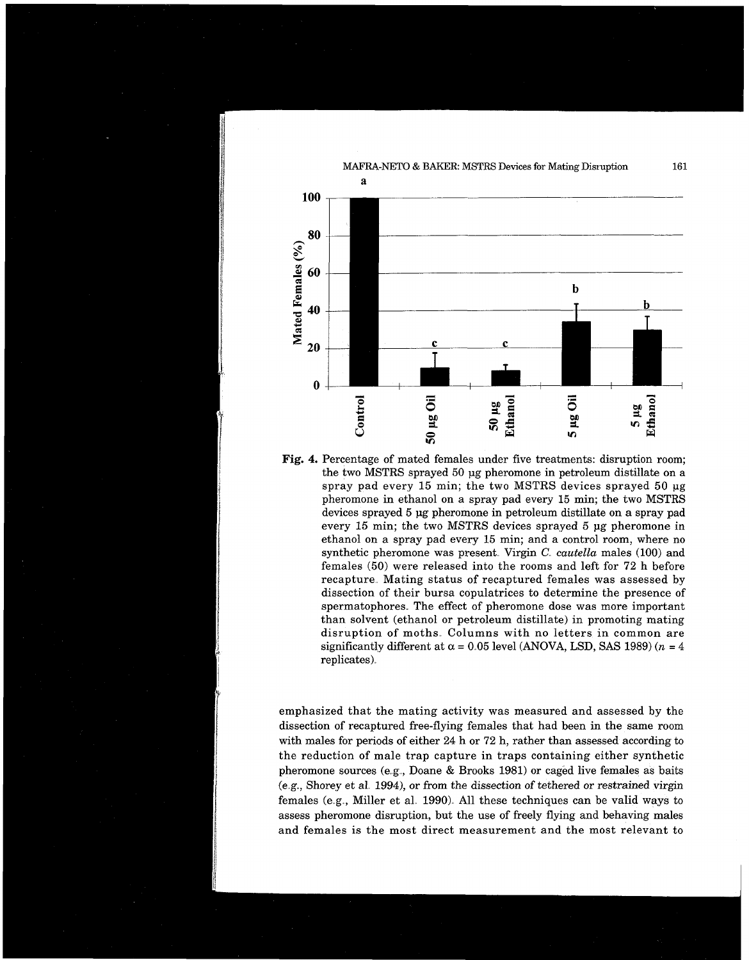

**Fig.** 4. Percentage of mated females under five treatments: disruption room; the two MSTRS sprayed 50 µg pheromone in petroleum distillate on a spray pad every 15 min; the two MSTRS devices sprayed 50 µg pheromone in ethanol on a spray pad every 15 min; the two MSTRS devices sprayed 5 µg pheromone in petroleum distillate on a spray pad every 15 min; the two MSTRS devices sprayed 5 ug pheromone in ethanol on a spray pad every 15 min; and a control room, where no synthetic pheromone was present. Virgin C. cautella males (100) and females (50) were released into the rooms and left for 72 h before recapture. Mating status of recaptured females was assessed by dissection of their bursa copulatrices to determine the presence of spermatophores. The effect of pheromone dose was more important than solvent (ethanol or petroleum distillate) in promoting mating disruption of moths. Columns with no letters in common are significantly different at  $\alpha = 0.05$  level (ANOVA, LSD, SAS 1989)  $(n = 4)$ replicates)

emphasized that the mating activity was measured and assessed by the dissection of recaptured free-flying females that had been in the same room with males for periods of either 24 h or 72 h, rather than assessed according to the reduction of male trap capture in traps containing either synthetic pheromone sources (e.g., Doane & Brooks 1981) or caged live females as baits (e g., Shorey et a1 1994), or from the dissection of tethered or restrained virgin females (e.g., Miller et al. 1990). All these techniques can be valid ways to assess pheromone disruption, but the use of freely flying and behaving males and females is the most direct measurement and the most relevant to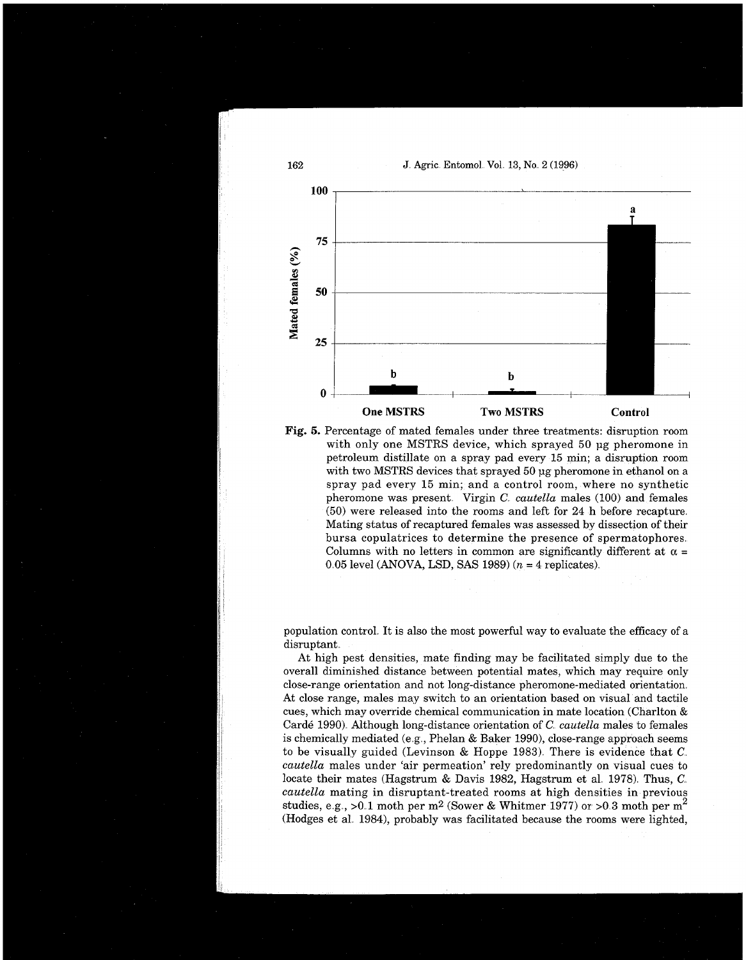

**Fig.** 5. Percentage of mated females under three treatments: disruption room with only one MSTRS device, which sprayed 50 µg pheromone in petroleum distillate on a spray pad every 15 min; a disruption room with two MSTRS devices that sprayed 50 pg pheromone in ethanol on a spray pad every 15 min; and a control room, where no synthetic pheromone was present Virgin C *cautella* males (100) and females (50) were released into the rooms and left for 24 h before recapture Mating status of recaptured females was assessed by dissection of their bursa copulatrices to determine the presence of spermatophores Columns with no letters in common are significantly different at  $\alpha =$ 0 05 level (ANOVA, LSD, SAS 1989) *(n* = 4 replicates)

population control It is also the most powerful way to evaluate the efficacy of a disruptant

At high pest densities, mate finding may be facilitated simply due to the overall diminished distance between potential mates, which may require only close-range orientation and not long-distance pheromone-mediated orientation At close range, males may switch to an orientation based on visual and tactile cues, which may override chemical communication in mate location (Charlton & Carde 1990) Although long-distance orientation of C *cautella* males to females is chemically mediated (e.g., Phelan & Baker 1990), close-range approach seems to be visually guided (Levinson & Hoppe 1983). There is evidence that  $C$ . *cautella* males under 'air permeation' rely predominantly on visual cues to locate their mates (Hagstrum & Davis 1982, Hagstrum et al. 1978). Thus, C. *cautella* mating in disruptant-treated rooms at high densities in previous studies, e.g.,  $>0.1$  moth per m<sup>2</sup> (Sower & Whitmer 1977) or  $>0.3$  moth per m<sup>2</sup> (Hodges et a1 1984), probably was facilitated because the rooms were lighted,

162 J **Agric** Entomol Vol 13, No 2 (1996)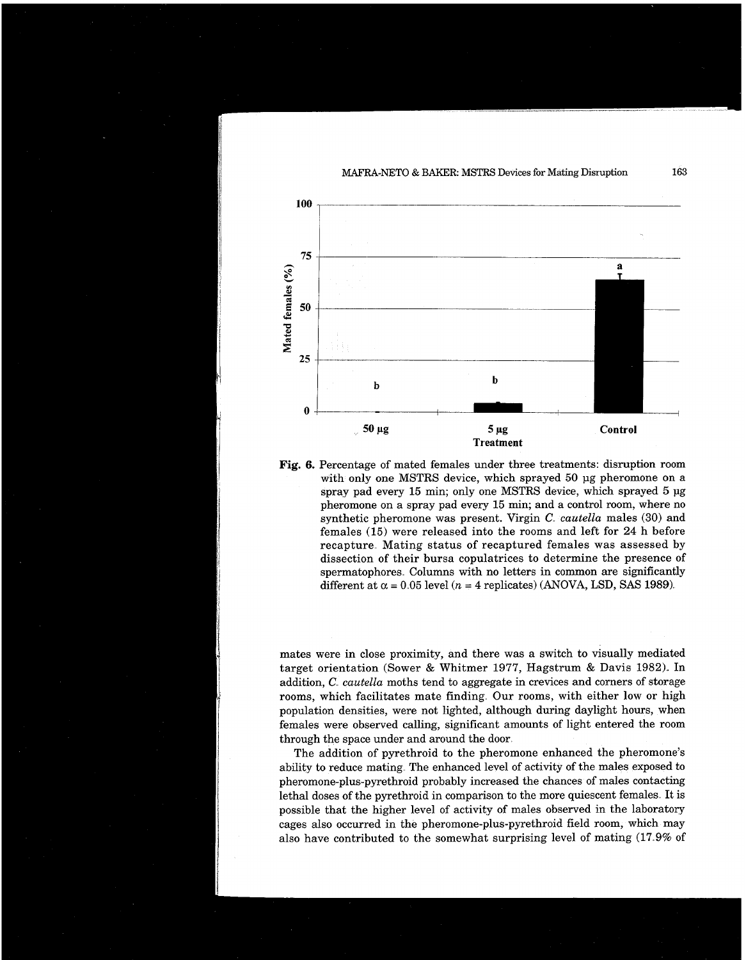





mates were in close proximity, and there was a switch to visually mediated target orientation (Sower & Whitmer 1977, Hagstrum & Davis 1982). In addition, *C cautella* moths tend to aggregate in crevices and corners of storage rooms, which facilitates mate finding. Our rooms, with either low or high population densities, were not lighted, although during daylight hours, when females were observed calling, significant amounts of light entered the room through the space under and around the door

The addition of pyrethroid to the pheromone enhanced the pheromone's ability to reduce mating. The enhanced level of activity of the males exposed to pheromone-plus-pyrethroid probably increased the chances of males contacting lethal doses of the pyrethroid in comparison to the more quiescent females It is possible that the higher level of activity of males observed in the laboratory cages also occurred in the pheromone-plus-pyrethroid field room, which may also have contributed to the somewhat surprising level of mating (17 9% of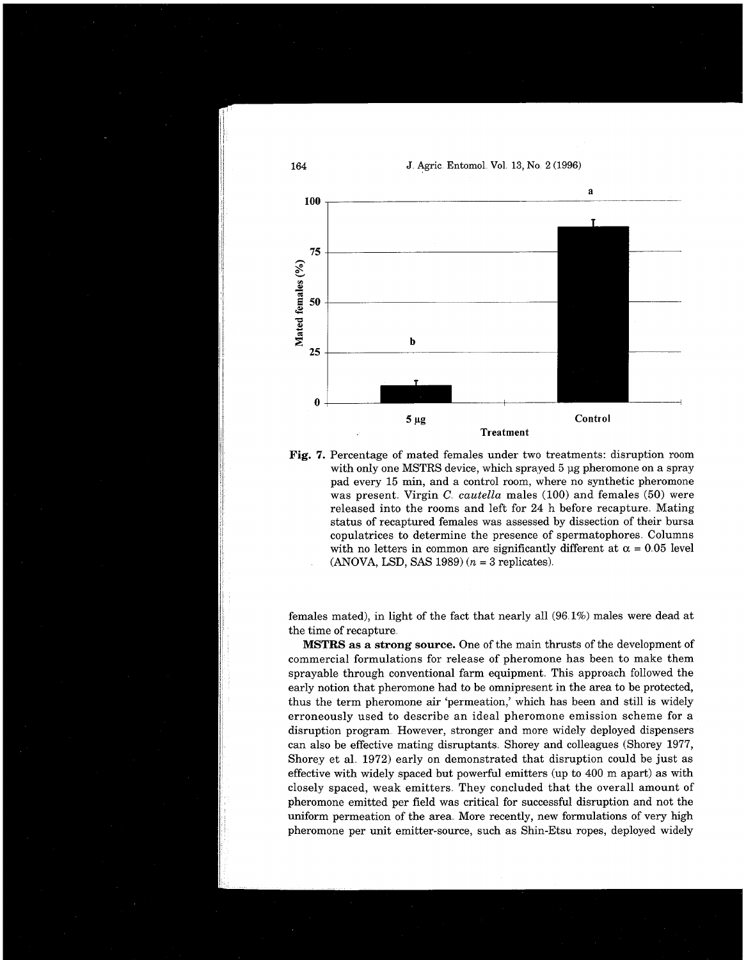

**Fig. 7.** Percentage of mated females under two treatments: disruption room with only one MSTRS device, which sprayed 5 ug pheromone on a spray pad every 15 min, and a control room, where no synthetic pheromone was present. Virgin C. cautella males (100) and females (50) were released into the rooms and left for 24 h before recapture, Mating status of recaptured females was assessed by dissection of their bursa copulatrices to determine the presence of spermatophores Columns with no letters in common are significantly different at  $\alpha = 0.05$  level  $(ANOVA, LSD, SAS 1989)$   $(n = 3$  replicates).

females mated), in light of the fact that nearly all (96 1%) males were dead at the time of recapture

MSTRS **as a strong source.** One of the main thrusts of the development of commercial formulations for release of pheromone has been to make them sprayable through conventional farm equipment. This approach followed the early notion that pheromone had to be omnipresent in the area to be protected, thus the term pheromone air 'permeation,' which has been and still is widely erroneously used to describe an ideal pheromone emission scheme for a disruption program However, stronger and more widely deployed dispensers can also be effective mating disruptants Shorey and colleagues (Shorey 1977, Shorey et a1 1972) early on demonstrated that disruption could be just as effective with widely spaced but powerful emitters (up to 400 m apart) as with closely spaced, weak emitters They concluded that the overall amount of pheromone emitted per field was critical for successful disruption and not the uniform permeation of the area More recently, new formulations of very high pheromone per unit emitter-source, such as Shin-Etsu ropes, deployed widely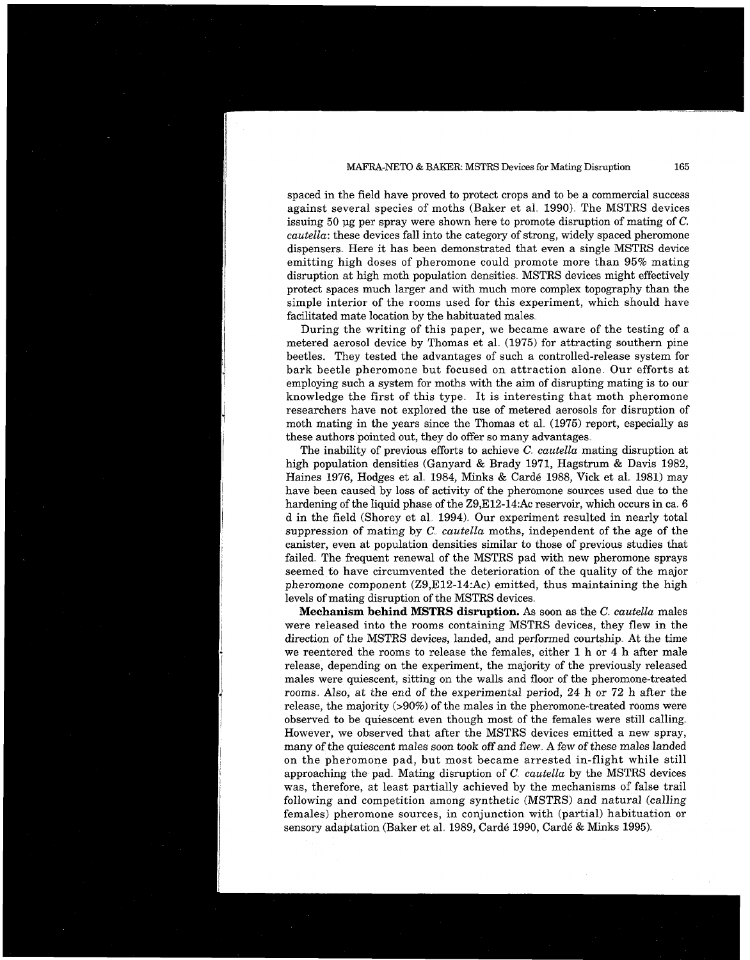## MAFRA-NET0 & BAKER: MSTRS Devices for Mating Disruption 165

spaced in the field have proved to protect crops and to be a commercial success against several species of moths (Baker et a1 1990) The MSTRS devices issuing 50 ug per spray were shown here to promote disruption of mating of C. cautella: these devices fall into the category of strong, widely spaced pheromone dispensers Here it has been demonstrated that even a single MSTRS device emitting high doses of pheromone could promote more than 95% mating disruption at high moth population densities MSTRS devices might effectively protect spaces much larger and with much more complex topography than the simple interior of the rooms used for this experiment, which should have facilitated mate location by the habituated males

During the writing of this paper, we became aware of the testing of a metered aerosol device by Thomas et a1 (1975) for attracting southern pine beetles. They tested the advantages of such a controlled-release system for bark beetle pheromone but focused on attraction alone Our efforts at employing such a system for moths with the aim of disrupting mating is to our knowledge the first of this type It is interesting that moth pheromone researchers have not explored the use of metered aerosols for disruption of moth mating in the years since the Thomas et al. (1975) report, especially as these authors pointed out, they do offer so many advantages

The inability of previous efforts to achieve  $C_1$  cautella mating disruption at high population densities (Ganyard & Brady 1971, Hagstrum & Davis 1982, Haines 1976, Hodges et al. 1984, Minks & Cardé 1988, Vick et al. 1981) may have been caused by loss of activity of the pheromone sources used due to the hardening of the liquid phase of the Z9,E12-14:Ac reservoir, which occurs in ca **6**  d in the field (Shorey et al. 1994). Our experiment resulted in nearly total suppression of mating by  $C_$  cautella moths, independent of the age of the canister, even at population densities similar to those of previous studies that failed. The frequent renewal of the MSTRS pad with new pheromone sprays seemed to have circumvented the deterioration of the quality of the major pheromone component (Z9,E12-14:Ac) emitted, thus maintaining the high levels of mating disruption of the MSTRS devices

**Mechanism behind MSTRS disruption.** As soon as the C cautella males were released into the rooms containing MSTRS devices, they flew in the direction of the MSTRS devices, landed, and performed courtship At the time we reentered the rooms to release the females, either 1 h or 4 h after male release, depending on the experiment, the majority of the previously released males were quiescent, sitting on the walls and floor of the pheromone-treated rooms Also, at the end of the experimental period, 24 h or 72 h after the release, the majority (>90%) of the males in the pheromone-treated rooms were observed to be quiescent even though most of the females were still calling However, we observed that after the MSTRS devices emitted a new spray, many of the quiescent males soon took off and flew A few of these males landed on the pheromone pad, but most became arrested in-flight while still approaching the pad. Mating disruption of  $C$  *cautella* by the MSTRS devices was, therefore, at least partially achieved by the mechanisms of false trail following and competition among synthetic (MSTRS) and natural (calling females) pheromone sources, in conjunction with (partial) habituation or sensory adaptation (Baker et al. 1989, Cardé 1990, Cardé & Minks 1995).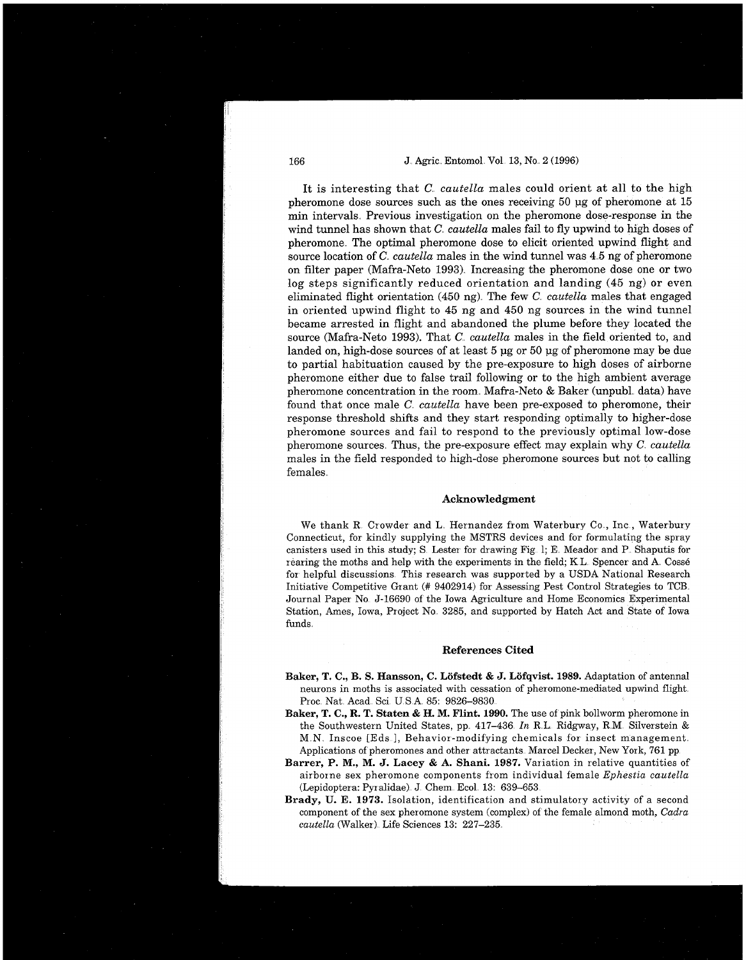It is interesting that C. cautella males could orient at all to the high pheromone dose sources such as the ones receiving 50 pg of pheromone at 15 min intervals Previous investigation on the pheromone dose-response in the wind tunnel has shown that C *cautella* males fail to fly upwind to high doses of pheromone The optimal pheromone dose to elicit oriented upwind flight and source location of C *cautella* males in the wind tunnel was 4 5 ng of pheromone on filter paper (Mafra-Neto 1993) Increasing the pheromone dose one or two log steps significantly reduced orientation and landing (45 ng) or even eliminated flight orientation (450 ng) The few C *cautella* males that engaged in oriented upwind flight to 45 ng and 450 ng sources in the wind tunnel became arrested in flight and abandoned the plume before they located the source (Mafra-Neto 1993). That C *cautella* males in the field oriented to, and landed on, high-dose sources of at least 5 ug or 50 pg of pheromone may be due to partial habituation caused by the pre-exposure to high doses of airborne pheromone either due to false trail following or to the high ambient average pheromone concentration in the room Mafra-Neto & Baker (unpubl data) have found that once male C<sub>*cautella* have been pre-exposed to pheromone, their</sub> response threshold shifts and they start responding optimally to higher-dose pheromone sources and fail to respond to the previously optimal low-dose pheromone sources Thus, the pre-exposure effect may explain why C *cautella*  males in the field responded to high-dose pheromone sources but not to calling females

#### **Acknowledgment**

We thank R. Crowder and L. Hernandez from Waterbury Co., Inc., Waterbury Connecticut, for kindly supplying the MSTRS devices and for formulating the spray canisters used in this study; S Lester for drawing Pig 1; E Meador and P Shaputis for rearing the moths and help with the experiments in the field; K.L. Spencer and A. Cossé for helpful discussions This research was supported by a USDA National Research Initiative Competitive Grant (# 9402914) for Assessing Pest Control Strategies to TCB Journal Paper No J-16690 of the Iowa Agriculture and Home Economics Experimental Station, Ames, Iowa, Project No 3285, and supported by Hatch Act and State of Iowa funds

## **References Cited**

- **Baker, T. C., B. S. Hansson, C. Lofstedt** & **J. Lofqvist. 1989.** Adaptation of antenna1 neurons in moths is associated with cessation of pheromone-mediated upwind flight Proc Nat Acad Sci US A 85: 9826-9830
- **Baker, T. C., R. T. Staten** & **H. M. Flint. 1990.** The use of pink bollworm pheromone in the Southwestern United States, pp. 417-436 In R.L. Ridgway, R.M. Silverstein & M.N. Inscoe [Eds.], Behavior-modifying chemicals for insect management. Applications of pheromones and other attractants Marcel Decker, New York, 761 pp
- **Barrer, P. M., M. J. Lacey** & **A. Shani. 1987.** Variation in relative quantities of airborne sex pheromone components from individual female Ephestia cautella (Lepidoptera: Pyralidae) J Chem Ecol 13: 639-653
- **Brady, U. E. 1973.** Isolation, identification and stimulatory activity of a second component of the sex pheromone system (complex) of the female almond moth, Cadra cautella (Walker). Life Sciences 13: 227-235.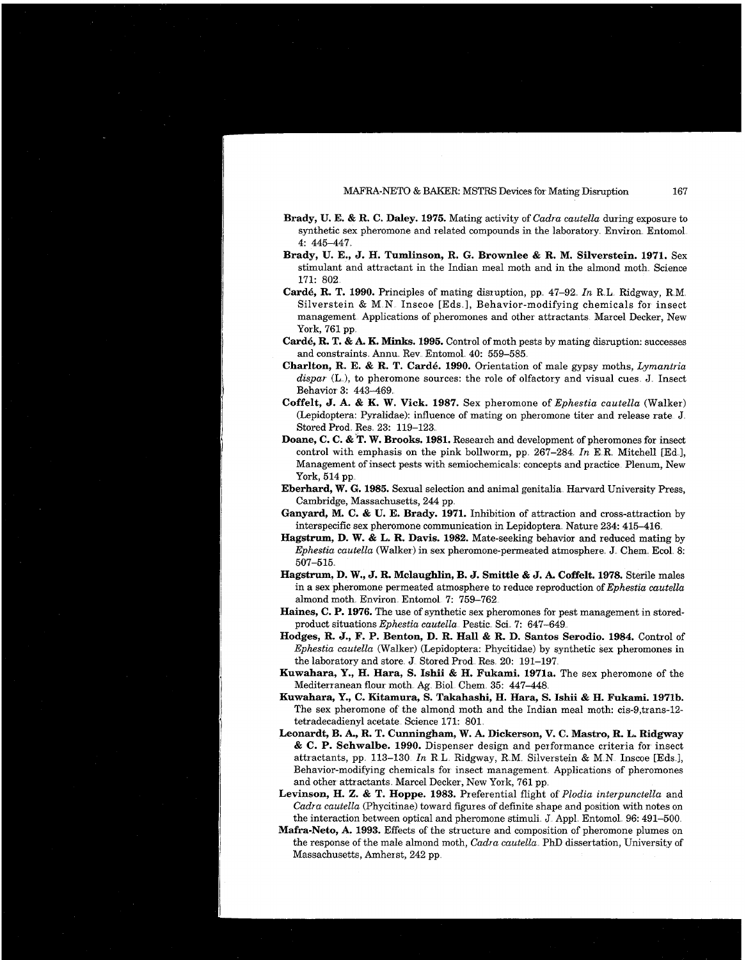## MAFRA-NETO & BAKER: MSTRS Devices for Mating Disruption 167

- **Brady, U. E.** & **R. C. Daley. 1975.** Mating activity of Cadra cautella during exposure to synthetic sex pheromone and related compounds in the laboratory Environ Entomol 4: 445-447
- **Brady, U. E., J. H. Tumlinson, R.** *G.* **Brownlee** & **R. M. Silverstein. 1971.** Sex stimulant and attractant in the Indian meal moth and in the almond moth Science 171: 802
- **Cardé, R. T. 1990.** Principles of mating disruption, pp. 47-92 In R.L. Ridgway, R.M. Silverstein & M.N. Inscoe [Eds.], Behavior-modifying chemicals for insect management Applications of pheromones and other attractants Marcel Decker, New York, 761 pp
- **Card6, R. T. &A. K. Minks. 1995.** Control of moth pests by mating disruption: successes and constraints. Annu. Rev. Entomol. 40: 559-585.
- **Charlton, R. E.** & **R. T. Card6. 1990.** Orientation of male gypsy moths, Lymantria  $dispar$  (L.), to pheromone sources: the role of olfactory and visual cues J. Insect Behavior 3: 443-469
- **Coffelt, J. A.** & **K. W. Vick. 1987.** Sex pheromone of Ephestia cautella (Walker) (Lepidoptera: Pyralidae): influence of mating on pheromone titer and release rate J Stored Prod. Res. 23: 119-123.
- **Doane, C. C.** & **T. W. Brooks. 1981.** Research and development of pheromones for insect control with emphasis on the pink bollworm, pp. 267-284 In E.R. Mitchell [Ed.], Management of insect pests with semiochemicals: concepts and practice Plenum, New York, 514 pp
- **Eberhard, W. G. 1985.** Sexual selection and animal genitalia Harvard University Press, Cambridge, Massachusetts, 244 pp
- **Ganyard, M. C.** & **U. E. Brady. 1971.** Inhibition of attraction and cross-attraction by interspecific sex pheromone communication in Lepidoptera Nature 234: 415-416.
- **Hagstrum, D. W.** & **L. R. Davis. 1982.** Mate-seeking behavior and reduced mating by Ephestia cautella (Walker) in sex pheromone-permeated atmosphere. J. Chem. Ecol. 8: 507-515
- **Hagstrum, D. W., J. R. Mclaughlin, B. J. Smittle** & **J. A. Coffelt. 1978.** Sterile males in a sex pheromone permeated atmosphere to reduce reproduction of Ephestia cautella almond moth Environ Entomol 7: 759-762
- **Haines, C.** P. **1976.** The use of synthetic sex pheromones for pest management in storedproduct situations Ephestia cautella Pestic Sci 7: 647-649
- **Hodges,** R. **J., F. P. Benton, D. R. Hall** & **R. D. Santos Serodio. 1984.** Control of Ephestia cautella (Walker) (Lepidoptera: Phycitidae) by synthetic sex pheromones in the laboratory and store J Stored Prod Res 20: 191-197
- **Kuwahara,** Y., **H. Hara, S. Ishii** & **H. Fukami. 1971a.** The sex pheromone of the Mediterranean flour moth Ag Biol Chem 35: 447-448.
- **Kuwahara,** Y., **C. Kitamura, S. Takahashi, H. Hara, S. Ishii** & **H. Fukami. 1971b.**  The sex pheromone of the almond moth and the Indian meal moth: cis-9,trans-12 tetradecadienyl acetate Science 171: 801
- **Leonardt, B. A., R. T. Cunningham, W. A. Dickerson, V. C. Mastro, R. L. Ridgway**  & **C. P. Schwalbe. 1990.** Dispenser design and performance criteria for insect attractants, pp. 113-130 In R.L. Ridgway, R.M. Silverstein & M.N. Inscoe [Eds.], Behavior-modifying chemicals for insect management Applications of pheromones and other attractants. Marcel Decker, New York, 761 pp.
- Levinson, H. Z. & T. Hoppe. 1983. Preferential flight of Plodia interpunctella and Cadra cautella (Phycitinae) toward figures of definite shape and position with notes on the interaction between optical and pheromone stimuli. J. Appl. Entomol. 96: 491-500.
- **Mafra-Neto, A. 1993.** Effects of the structure and composition of pheromone plumes on the response of the male almond moth, Cadra cautella. PhD dissertation, University of Massachusetts, Amherst, 242 pp